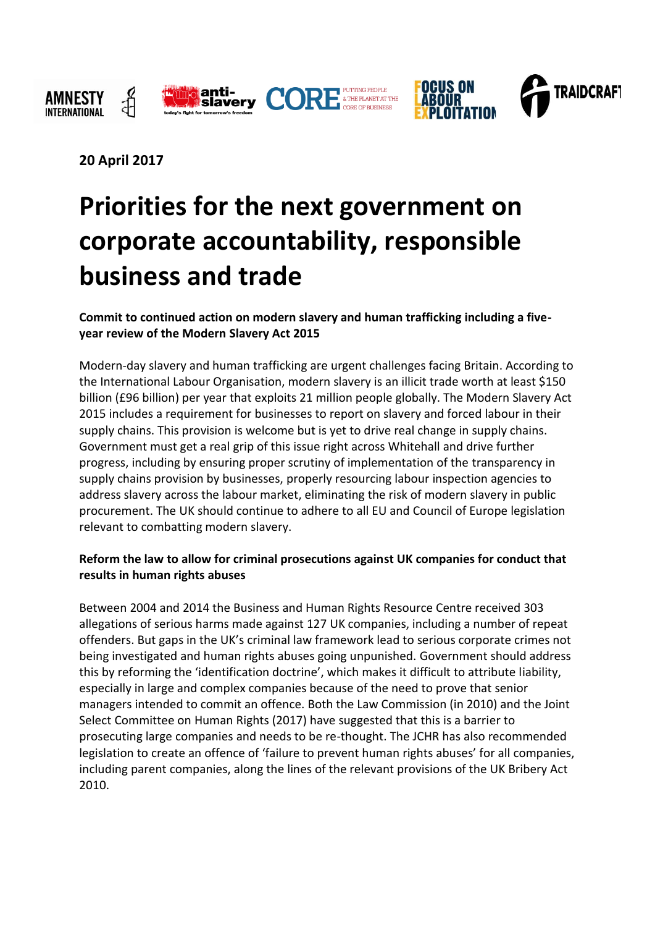



**20 April 2017**

# **Priorities for the next government on corporate accountability, responsible business and trade**

**Commit to continued action on modern slavery and human trafficking including a fiveyear review of the Modern Slavery Act 2015**

Modern-day slavery and human trafficking are urgent challenges facing Britain. According to the International Labour Organisation, modern slavery is an illicit trade worth at least \$150 billion (£96 billion) per year that exploits 21 million people globally. The Modern Slavery Act 2015 includes a requirement for businesses to report on slavery and forced labour in their supply chains. This provision is welcome but is yet to drive real change in supply chains. Government must get a real grip of this issue right across Whitehall and drive further progress, including by ensuring proper scrutiny of implementation of the transparency in supply chains provision by businesses, properly resourcing labour inspection agencies to address slavery across the labour market, eliminating the risk of modern slavery in public procurement. The UK should continue to adhere to all EU and Council of Europe legislation relevant to combatting modern slavery.

## **Reform the law to allow for criminal prosecutions against UK companies for conduct that results in human rights abuses**

Between 2004 and 2014 the Business and Human Rights Resource Centre received 303 allegations of serious harms made against 127 UK companies, including a number of repeat offenders. But gaps in the UK's criminal law framework lead to serious corporate crimes not being investigated and human rights abuses going unpunished. Government should address this by reforming the 'identification doctrine', which makes it difficult to attribute liability, especially in large and complex companies because of the need to prove that senior managers intended to commit an offence. Both the Law Commission (in 2010) and the Joint Select Committee on Human Rights (2017) have suggested that this is a barrier to prosecuting large companies and needs to be re-thought. The JCHR has also recommended legislation to create an offence of 'failure to prevent human rights abuses' for all companies, including parent companies, along the lines of the relevant provisions of the UK Bribery Act 2010.